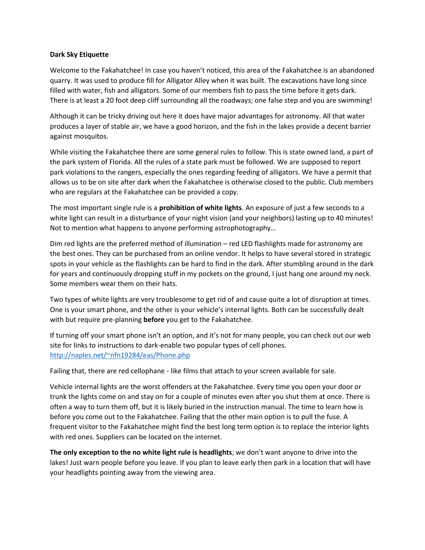## **Dark Sky Etiquette**

Welcome to the Fakahatchee! In case you haven't noticed, this area of the Fakahatchee is an abandoned quarry. It was used to produce fill for Alligator Alley when it was built. The excavations have long since filled with water, fish and alligators. Some of our members fish to pass the time before it gets dark. There is at least a 20 foot deep cliff surrounding all the roadways; one false step and you are swimming!

Although it can be tricky driving out here it does have major advantages for astronomy. All that water produces a layer of stable air, we have a good horizon, and the fish in the lakes provide a decent barrier against mosquitos.

While visiting the Fakahatchee there are some general rules to follow. This is state owned land, a part of the park system of Florida. All the rules of a state park must be followed. We are supposed to report park violations to the rangers, especially the ones regarding feeding of alligators. We have a permit that allows us to be on site after dark when the Fakahatchee is otherwise closed to the public. Club members who are regulars at the Fakahatchee can be provided a copy.

The most important single rule is a **prohibition of white lights**. An exposure of just a few seconds to a white light can result in a disturbance of your night vision (and your neighbors) lasting up to 40 minutes! Not to mention what happens to anyone performing astrophotography…

Dim red lights are the preferred method of illumination – red LED flashlights made for astronomy are the best ones. They can be purchased from an online vendor. It helps to have several stored in strategic spots in your vehicle as the flashlights can be hard to find in the dark. After stumbling around in the dark for years and continuously dropping stuff in my pockets on the ground, I just hang one around my neck. Some members wear them on their hats.

Two types of white lights are very troublesome to get rid of and cause quite a lot of disruption at times. One is your smart phone, and the other is your vehicle's internal lights. Both can be successfully dealt with but require pre-planning **before** you get to the Fakahatchee.

If turning off your smart phone isn't an option, and it's not for many people, you can check out our web site for links to instructions to dark-enable two popular types of cell phones. <http://naples.net/~nfn19284/eas/Phone.php>

Failing that, there are red cellophane - like films that attach to your screen available for sale.

Vehicle internal lights are the worst offenders at the Fakahatchee. Every time you open your door or trunk the lights come on and stay on for a couple of minutes even after you shut them at once. There is often a way to turn them off, but it is likely buried in the instruction manual. The time to learn how is before you come out to the Fakahatchee. Failing that the other main option is to pull the fuse. A frequent visitor to the Fakahatchee might find the best long term option is to replace the interior lights with red ones. Suppliers can be located on the internet.

**The only exception to the no white light rule is headlights**; we don't want anyone to drive into the lakes! Just warn people before you leave. If you plan to leave early then park in a location that will have your headlights pointing away from the viewing area.